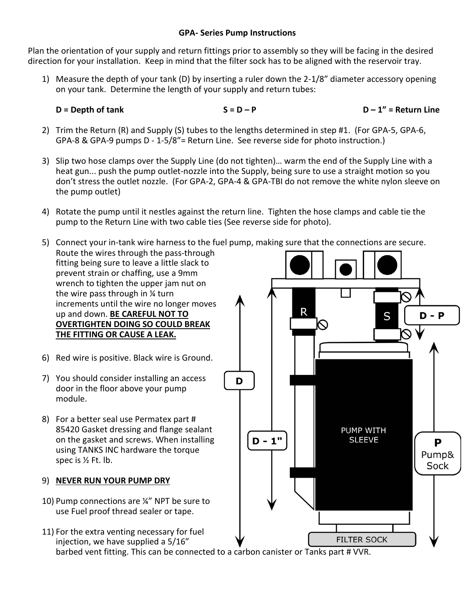## **GPA- Series Pump Instructions**

Plan the orientation of your supply and return fittings prior to assembly so they will be facing in the desired direction for your installation. Keep in mind that the filter sock has to be aligned with the reservoir tray.

1) Measure the depth of your tank (D) by inserting a ruler down the 2-1/8" diameter accessory opening on your tank. Determine the length of your supply and return tubes:

 $S = D - P$   $D - 1" = Return Line$ 

- 2) Trim the Return (R) and Supply (S) tubes to the lengths determined in step #1. (For GPA-5, GPA-6, GPA-8 & GPA-9 pumps D - 1-5/8"= Return Line. See reverse side for photo instruction.)
- 3) Slip two hose clamps over the Supply Line (do not tighten)… warm the end of the Supply Line with a heat gun... push the pump outlet-nozzle into the Supply, being sure to use a straight motion so you don't stress the outlet nozzle. (For GPA-2, GPA-4 & GPA-TBI do not remove the white nylon sleeve on the pump outlet)
- 4) Rotate the pump until it nestles against the return line. Tighten the hose clamps and cable tie the pump to the Return Line with two cable ties (See reverse side for photo).
- 5) Connect your in-tank wire harness to the fuel pump, making sure that the connections are secure. Route the wires through the pass-through fitting being sure to leave a little slack to prevent strain or chaffing, use a 9mm wrench to tighten the upper jam nut on the wire pass through in ¼ turn increments until the wire no longer moves R up and down. **BE CAREFUL NOT TO**  S  $D - P$ **OVERTIGHTEN DOING SO COULD BREAK THE FITTING OR CAUSE A LEAK.** 6) Red wire is positive. Black wire is Ground. 7) You should consider installing an access D door in the floor above your pump module. 8) For a better seal use Permatex part # 85420 Gasket dressing and flange sealant PUMP WITH on the gasket and screws. When installing  $D - 1"$ **SLEEVE** P using TANKS INC hardware the torque Pump& spec is ½ Ft. lb. Sock 9) **NEVER RUN YOUR PUMP DRY** 10) Pump connections are ¼" NPT be sure to use Fuel proof thread sealer or tape.